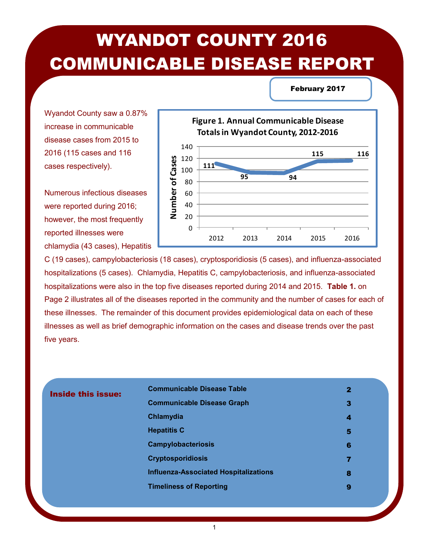# WYANDOT COUNTY 2016 COMMUNICABLE DISEASE REPORT

February 2017

Wyandot County saw a 0.87% increase in communicable disease cases from 2015 to 2016 (115 cases and 116 cases respectively).

Numerous infectious diseases were reported during 2016; however, the most frequently reported illnesses were chlamydia (43 cases), Hepatitis



C (19 cases), campylobacteriosis (18 cases), cryptosporidiosis (5 cases), and influenza-associated hospitalizations (5 cases). Chlamydia, Hepatitis C, campylobacteriosis, and influenza-associated hospitalizations were also in the top five diseases reported during 2014 and 2015. **Table 1.** on Page 2 illustrates all of the diseases reported in the community and the number of cases for each of these illnesses. The remainder of this document provides epidemiological data on each of these illnesses as well as brief demographic information on the cases and disease trends over the past five years.

| <b>Inside this issue:</b> | <b>Communicable Disease Table</b>            | $\mathbf{2}$ |
|---------------------------|----------------------------------------------|--------------|
|                           | <b>Communicable Disease Graph</b>            | З            |
|                           | Chlamydia                                    | 4            |
|                           | <b>Hepatitis C</b>                           | 5            |
|                           | <b>Campylobacteriosis</b>                    | 6            |
|                           | <b>Cryptosporidiosis</b>                     | 7            |
|                           | <b>Influenza-Associated Hospitalizations</b> | 8            |
|                           | <b>Timeliness of Reporting</b>               | 9            |
|                           |                                              |              |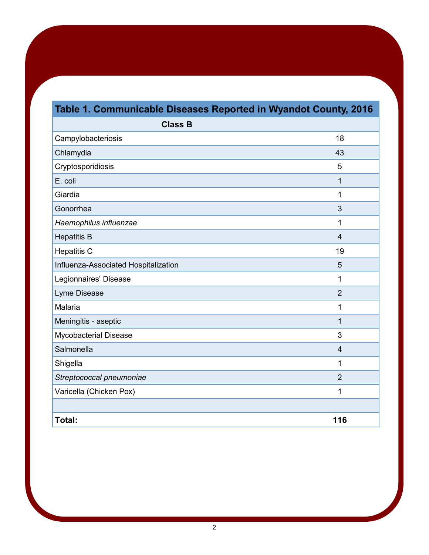# **Table 1. Communicable Diseases Reported in Wyandot County, 2016**

| <b>Class B</b>                       |                         |
|--------------------------------------|-------------------------|
| Campylobacteriosis                   | 18                      |
| Chlamydia                            | 43                      |
| Cryptosporidiosis                    | 5                       |
| E. coli                              | 1                       |
| Giardia                              | 1                       |
| Gonorrhea                            | 3                       |
| Haemophilus influenzae               | 1                       |
| <b>Hepatitis B</b>                   | $\overline{4}$          |
| <b>Hepatitis C</b>                   | 19                      |
| Influenza-Associated Hospitalization | 5                       |
| Legionnaires' Disease                | 1                       |
| Lyme Disease                         | $\overline{2}$          |
| Malaria                              | 1                       |
| Meningitis - aseptic                 | 1                       |
| Mycobacterial Disease                | 3                       |
| Salmonella                           | $\overline{\mathbf{4}}$ |
| Shigella                             | 1                       |
| Streptococcal pneumoniae             | $\overline{2}$          |
| Varicella (Chicken Pox)              | 1                       |
|                                      |                         |
| Total:                               | 116                     |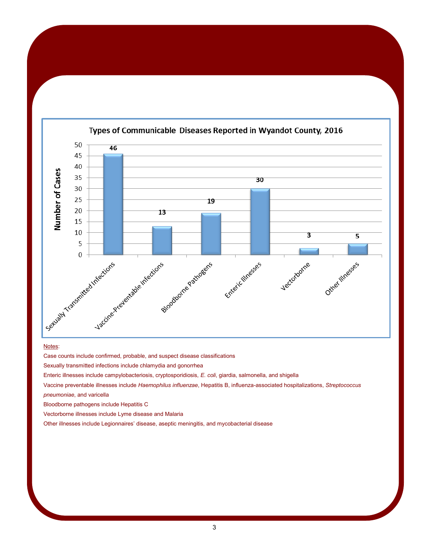

#### Types of Communicable Diseases Reported in Wyandot County, 2016

#### Notes:

Case counts include confirmed, probable, and suspect disease classifications

Sexually transmitted infections include chlamydia and gonorrhea

Enteric illnesses include campylobacteriosis, cryptosporidiosis*, E. coli*, giardia, salmonella, and shigella

Vaccine preventable illnesses include *Haemophilus influenzae*, Hepatitis B, influenza-associated hospitalizations, *Streptococcus* 

*pneumoniae*, and varicella

Bloodborne pathogens include Hepatitis C

Vectorborne illnesses include Lyme disease and Malaria

Other illnesses include Legionnaires' disease, aseptic meningitis, and mycobacterial disease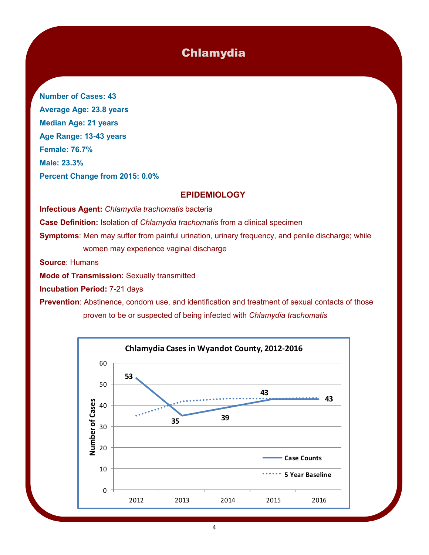# Chlamydia

**Number of Cases: 43 Average Age: 23.8 years Median Age: 21 years Age Range: 13-43 years Female: 76.7% Male: 23.3% Percent Change from 2015: 0.0%**

#### **EPIDEMIOLOGY**

**Infectious Agent:** *Chlamydia trachomatis* bacteria **Case Definition:** Isolation of *Chlamydia trachomatis* from a clinical specimen **Symptoms:** Men may suffer from painful urination, urinary frequency, and penile discharge; while women may experience vaginal discharge **Source**: Humans

**Mode of Transmission:** Sexually transmitted

**Incubation Period:** 7-21 days

**Prevention**: Abstinence, condom use, and identification and treatment of sexual contacts of those proven to be or suspected of being infected with *Chlamydia trachomatis*

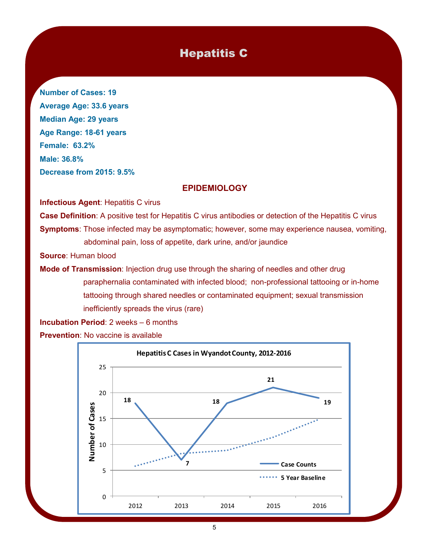# Hepatitis C

**Number of Cases: 19 Average Age: 33.6 years Median Age: 29 years Age Range: 18-61 years Female: 63.2% Male: 36.8% Decrease from 2015: 9.5%**

#### **EPIDEMIOLOGY**

**Infectious Agent: Hepatitis C virus** 

**Case Definition**: A positive test for Hepatitis C virus antibodies or detection of the Hepatitis C virus **Symptoms**: Those infected may be asymptomatic; however, some may experience nausea, vomiting, abdominal pain, loss of appetite, dark urine, and/or jaundice

**Source**: Human blood

**Mode of Transmission**: Injection drug use through the sharing of needles and other drug paraphernalia contaminated with infected blood; non-professional tattooing or in-home tattooing through shared needles or contaminated equipment; sexual transmission inefficiently spreads the virus (rare)

**Incubation Period**: 2 weeks – 6 months **Prevention**: No vaccine is available

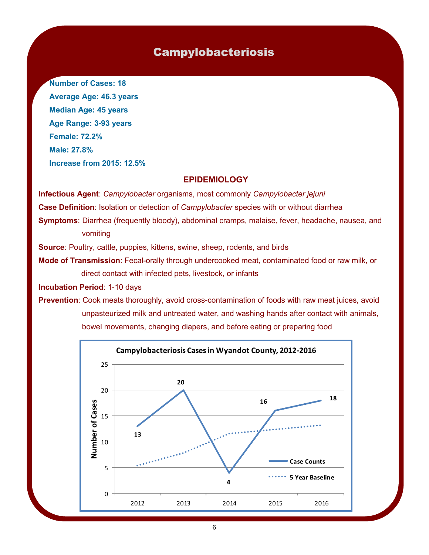### Campylobacteriosis

**Number of Cases: 18 Average Age: 46.3 years Median Age: 45 years Age Range: 3-93 years Female: 72.2% Male: 27.8% Increase from 2015: 12.5%**

#### **EPIDEMIOLOGY**

**Infectious Agent**: *Campylobacter* organisms, most commonly *Campylobacter jejuni* **Case Definition**: Isolation or detection of *Campylobacter* species with or without diarrhea **Symptoms**: Diarrhea (frequently bloody), abdominal cramps, malaise, fever, headache, nausea, and vomiting

**Source**: Poultry, cattle, puppies, kittens, swine, sheep, rodents, and birds

**Mode of Transmission**: Fecal-orally through undercooked meat, contaminated food or raw milk, or direct contact with infected pets, livestock, or infants

**Incubation Period**: 1-10 days

**Prevention**: Cook meats thoroughly, avoid cross-contamination of foods with raw meat juices, avoid unpasteurized milk and untreated water, and washing hands after contact with animals, bowel movements, changing diapers, and before eating or preparing food

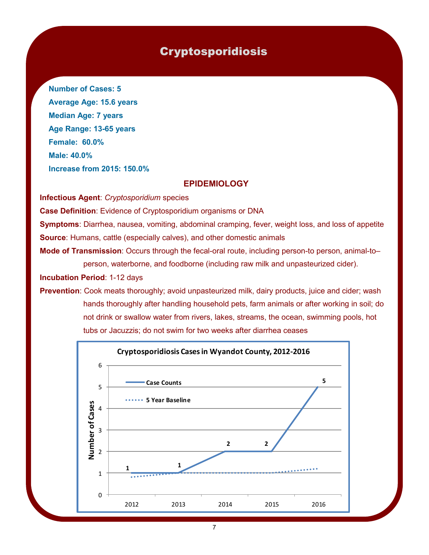## Cryptosporidiosis

**Number of Cases: 5 Average Age: 15.6 years Median Age: 7 years Age Range: 13-65 years Female: 60.0% Male: 40.0% Increase from 2015: 150.0%**

#### **EPIDEMIOLOGY**

**Infectious Agent**: *Cryptosporidium* species

**Case Definition**: Evidence of Cryptosporidium organisms or DNA

**Symptoms**: Diarrhea, nausea, vomiting, abdominal cramping, fever, weight loss, and loss of appetite **Source**: Humans, cattle (especially calves), and other domestic animals

**Mode of Transmission**: Occurs through the fecal-oral route, including person-to person, animal-to– person, waterborne, and foodborne (including raw milk and unpasteurized cider).

**Incubation Period**: 1-12 days

**Prevention**: Cook meats thoroughly; avoid unpasteurized milk, dairy products, juice and cider; wash hands thoroughly after handling household pets, farm animals or after working in soil; do not drink or swallow water from rivers, lakes, streams, the ocean, swimming pools, hot tubs or Jacuzzis; do not swim for two weeks after diarrhea ceases

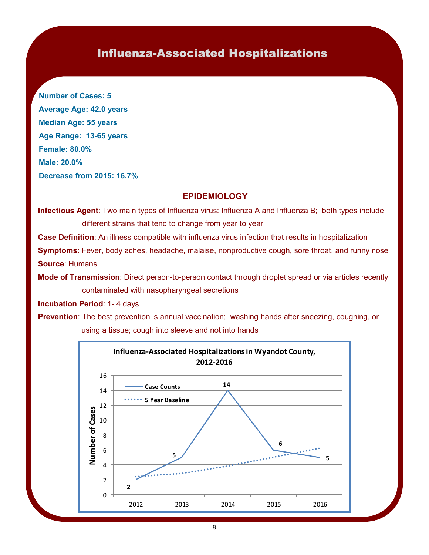# Influenza-Associated Hospitalizations

**Number of Cases: 5 Average Age: 42.0 years Median Age: 55 years Age Range: 13-65 years Female: 80.0% Male: 20.0% Decrease from 2015: 16.7%**

#### **EPIDEMIOLOGY**

**Infectious Agent**: Two main types of Influenza virus: Influenza A and Influenza B; both types include different strains that tend to change from year to year

**Case Definition**: An illness compatible with influenza virus infection that results in hospitalization **Symptoms**: Fever, body aches, headache, malaise, nonproductive cough, sore throat, and runny nose **Source**: Humans

**Mode of Transmission**: Direct person-to-person contact through droplet spread or via articles recently contaminated with nasopharyngeal secretions

**Incubation Period**: 1- 4 days

**Prevention**: The best prevention is annual vaccination; washing hands after sneezing, coughing, or using a tissue; cough into sleeve and not into hands

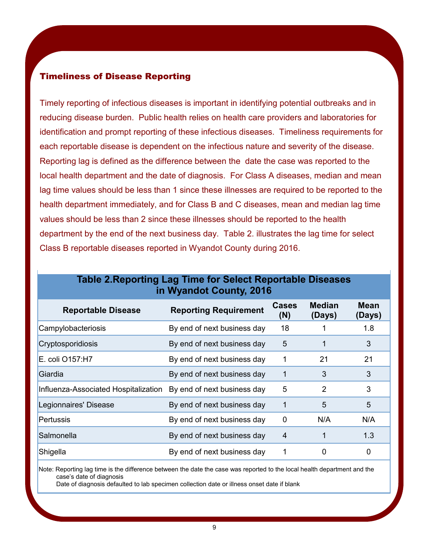#### Timeliness of Disease Reporting

Timely reporting of infectious diseases is important in identifying potential outbreaks and in reducing disease burden. Public health relies on health care providers and laboratories for identification and prompt reporting of these infectious diseases. Timeliness requirements for each reportable disease is dependent on the infectious nature and severity of the disease. Reporting lag is defined as the difference between the date the case was reported to the local health department and the date of diagnosis. For Class A diseases, median and mean lag time values should be less than 1 since these illnesses are required to be reported to the health department immediately, and for Class B and C diseases, mean and median lag time values should be less than 2 since these illnesses should be reported to the health department by the end of the next business day. Table 2. illustrates the lag time for select Class B reportable diseases reported in Wyandot County during 2016.

| <b>Reportable Disease</b>            | <b>Reporting Requirement</b> | <b>Cases</b><br>(N) | <b>Median</b><br>(Days) | <b>Mean</b><br>(Days) |
|--------------------------------------|------------------------------|---------------------|-------------------------|-----------------------|
| Campylobacteriosis                   | By end of next business day  | 18                  |                         | 1.8                   |
| Cryptosporidiosis                    | By end of next business day  | 5                   |                         | 3                     |
| E. coli O157:H7                      | By end of next business day  |                     | 21                      | 21                    |
| Giardia                              | By end of next business day  | 1                   | 3                       | 3                     |
| Influenza-Associated Hospitalization | By end of next business day  | 5                   | 2                       | 3                     |
| Legionnaires' Disease                | By end of next business day  |                     | 5                       | 5                     |
| <b>Pertussis</b>                     | By end of next business day  | 0                   | N/A                     | N/A                   |
| Salmonella                           | By end of next business day  | 4                   |                         | 1.3                   |
| Shigella                             | By end of next business day  |                     | 0                       | 0                     |

#### **Table 2.Reporting Lag Time for Select Reportable Diseases in Wyandot County, 2016**

Note: Reporting lag time is the difference between the date the case was reported to the local health department and the case's date of diagnosis

Date of diagnosis defaulted to lab specimen collection date or illness onset date if blank